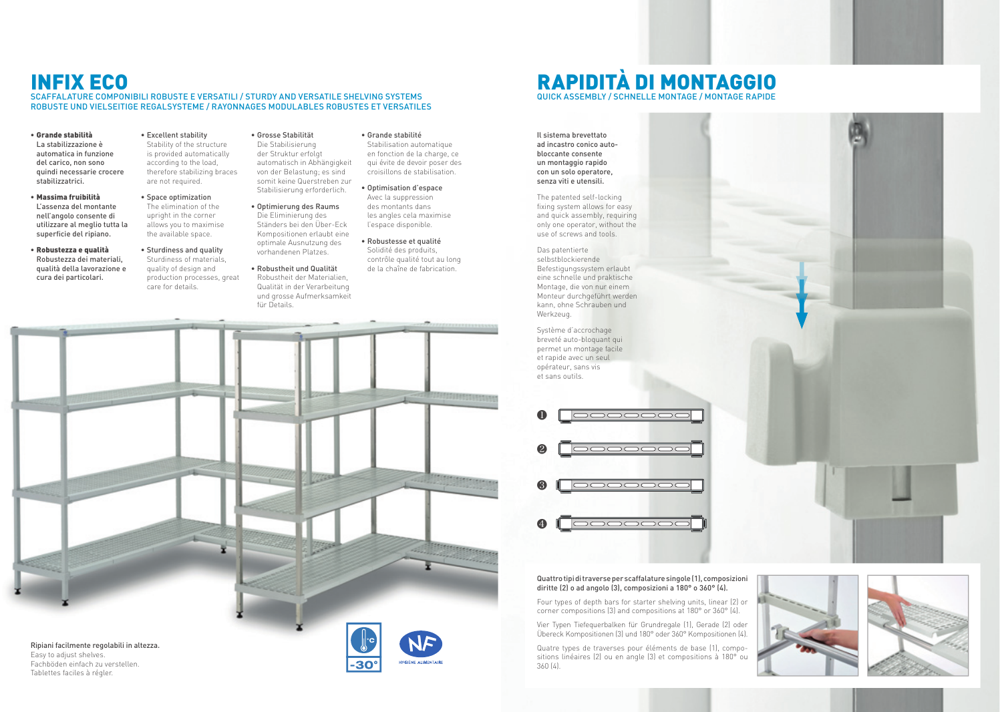## INFIX ECO

### SCAFFALATURE COMPONIBILI ROBUSTE E VERSATILI / STURDY AND VERSATILE SHELVING SYSTEMS ROBUSTE UND VIELSEITIGE REGALSYSTEME / RAYONNAGES MODULABLES ROBUSTES ET VERSATILES

- Grande stabilità La stabilizzazione è automatica in funzione del carico, non sono quindi necessarie crocere stabilizzatrici.
- Massima fruibilità L'assenza del montante nell'angolo consente di utilizzare al meglio tutta la superficie del ripiano.
- Robustezza e qualità Robustezza dei materiali, qualità della lavorazione e cura dei particolari.
- Excellent stability Stability of the structure is provided automatically according to the load, therefore stabilizing braces are not required.
- Space optimization The elimination of the upright in the corner allows you to maximise the available space.
- Sturdiness and quality Sturdiness of materials, quality of design and production processes, great care for details.
- Grosse Stabilität Die Stabilisierung der Struktur erfolgt automatisch in Abhängigkeit von der Belastung; es sind somit keine Querstreben zur Stabilisierung erforderlich.
- Optimierung des Raums Die Eliminierung des Ständers bei den Über-Eck Kompositionen erlaubt eine optimale Ausnutzung des vorhandenen Platzes.
- Robustheit und Qualität Robustheit der Materialien, Qualität in der Verarbeitung und grosse Aufmerksamkeit für Details.
- Grande stabilité Stabilisation automatique en fonction de la charge, ce qui évite de devoir poser des croisillons de stabilisation.
- Optimisation d'espace Avec la suppression des montants dans les angles cela maximise l'espace disponible.
- Robustesse et qualité Solidité des produits, contrôle qualité tout au long de la chaîne de fabrication.



Easy to adjust shelves. Fachböden einfach zu verstellen. Tablettes faciles à régler.













#### Quattro tipi di traverse per scaffalature singole (1), composizioni diritte (2) o ad angolo (3), composizioni a 180° o 360° (4).

Four types of depth bars for starter shelving units, linear (2) or corner compositions (3) and compositions at 180° or 360° (4).

Vier Typen Tiefequerbalken für Grundregale (1), Gerade (2) oder Übereck Kompositionen (3) und 180° oder 360° Kompositionen (4).

Quatre types de traverses pour éléments de base (1), compositions linéaires (2) ou en angle (3) et compositions à 180° ou 360 (4).

Il sistema brevettato ad incastro conico autobloccante consente un montaggio rapido con un solo operatore, senza viti e utensili.

- The patented self-locking fixing system allows for easy and quick assembly, requiring only one operator, without the use of screws and tools.
- Das patentierte selbstblockierende Befestigungssystem erlaubt eine schnelle und praktische Montage, die von nur einem Monteur durchgeführt werden kann, ohne Schrauben und Werkzeug.

Système d'accrochage breveté auto-bloquant qui permet un montage facile et rapide avec un seul opérateur, sans vis et sans outils.